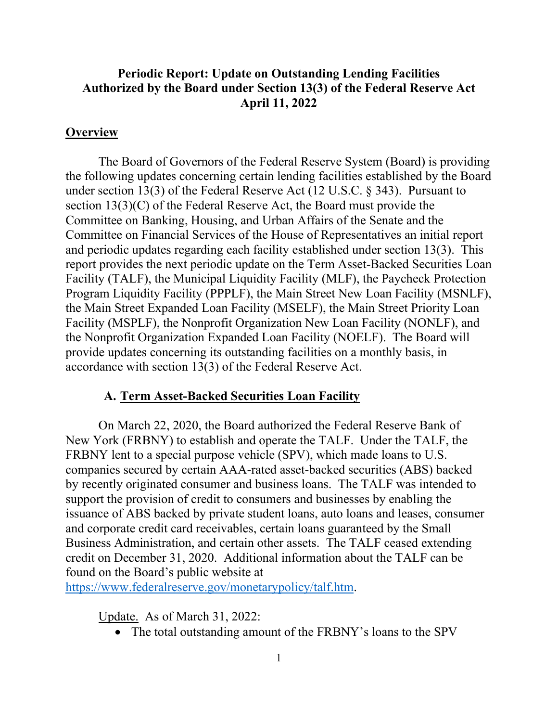## **Periodic Report: Update on Outstanding Lending Facilities Authorized by the Board under Section 13(3) of the Federal Reserve Act April 11, 2022**

#### **Overview**

The Board of Governors of the Federal Reserve System (Board) is providing the following updates concerning certain lending facilities established by the Board under section 13(3) of the Federal Reserve Act (12 U.S.C. § 343). Pursuant to section 13(3)(C) of the Federal Reserve Act, the Board must provide the Committee on Banking, Housing, and Urban Affairs of the Senate and the Committee on Financial Services of the House of Representatives an initial report and periodic updates regarding each facility established under section 13(3). This report provides the next periodic update on the Term Asset-Backed Securities Loan Facility (TALF), the Municipal Liquidity Facility (MLF), the Paycheck Protection Program Liquidity Facility (PPPLF), the Main Street New Loan Facility (MSNLF), the Main Street Expanded Loan Facility (MSELF), the Main Street Priority Loan Facility (MSPLF), the Nonprofit Organization New Loan Facility (NONLF), and the Nonprofit Organization Expanded Loan Facility (NOELF). The Board will provide updates concerning its outstanding facilities on a monthly basis, in accordance with section 13(3) of the Federal Reserve Act.

#### **A. Term Asset-Backed Securities Loan Facility**

On March 22, 2020, the Board authorized the Federal Reserve Bank of New York (FRBNY) to establish and operate the TALF. Under the TALF, the FRBNY lent to a special purpose vehicle (SPV), which made loans to U.S. companies secured by certain AAA-rated asset-backed securities (ABS) backed by recently originated consumer and business loans. The TALF was intended to support the provision of credit to consumers and businesses by enabling the issuance of ABS backed by private student loans, auto loans and leases, consumer and corporate credit card receivables, certain loans guaranteed by the Small Business Administration, and certain other assets. The TALF ceased extending credit on December 31, 2020. Additional information about the TALF can be found on the Board's public website at

https://www.federalreserve.gov/monetarypolicy/talf.htm.

Update. As of March 31, 2022:

• The total outstanding amount of the FRBNY's loans to the SPV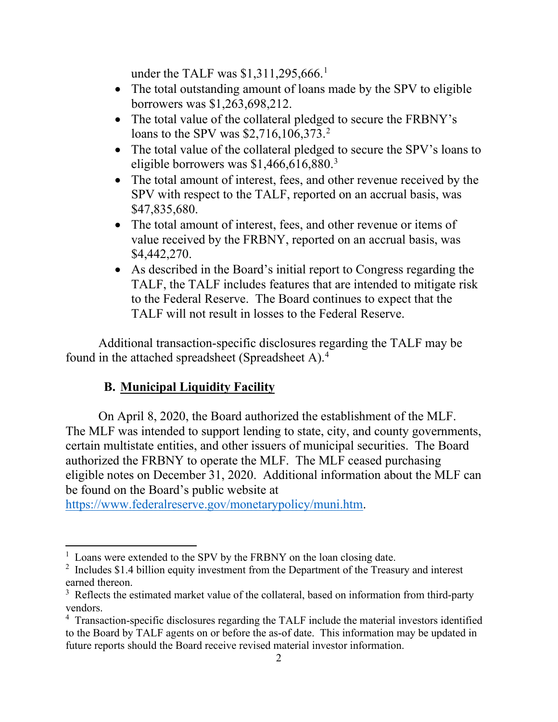under the TALF was \$1,311,295,666.<sup>1</sup>

- The total outstanding amount of loans made by the SPV to eligible borrowers was \$1,263,698,212.
- The total value of the collateral pledged to secure the FRBNY's loans to the SPV was \$2,716,106,373.<sup>2</sup>
- The total value of the collateral pledged to secure the SPV's loans to eligible borrowers was \$1,466,616,880. 3
- The total amount of interest, fees, and other revenue received by the SPV with respect to the TALF, reported on an accrual basis, was \$47,835,680.
- The total amount of interest, fees, and other revenue or items of value received by the FRBNY, reported on an accrual basis, was \$4,442,270.
- As described in the Board's initial report to Congress regarding the TALF, the TALF includes features that are intended to mitigate risk to the Federal Reserve. The Board continues to expect that the TALF will not result in losses to the Federal Reserve.

Additional transaction-specific disclosures regarding the TALF may be found in the attached spreadsheet (Spreadsheet A).4

# **B. Municipal Liquidity Facility**

On April 8, 2020, the Board authorized the establishment of the MLF. The MLF was intended to support lending to state, city, and county governments, certain multistate entities, and other issuers of municipal securities. The Board authorized the FRBNY to operate the MLF. The MLF ceased purchasing eligible notes on December 31, 2020. Additional information about the MLF can be found on the Board's public website at

https://www.federalreserve.gov/monetarypolicy/muni.htm.

<sup>&</sup>lt;sup>1</sup> Loans were extended to the SPV by the FRBNY on the loan closing date.

 $2$  Includes \$1.4 billion equity investment from the Department of the Treasury and interest earned thereon.

 $3$  Reflects the estimated market value of the collateral, based on information from third-party vendors.

<sup>&</sup>lt;sup>4</sup> Transaction-specific disclosures regarding the TALF include the material investors identified to the Board by TALF agents on or before the as-of date. This information may be updated in future reports should the Board receive revised material investor information.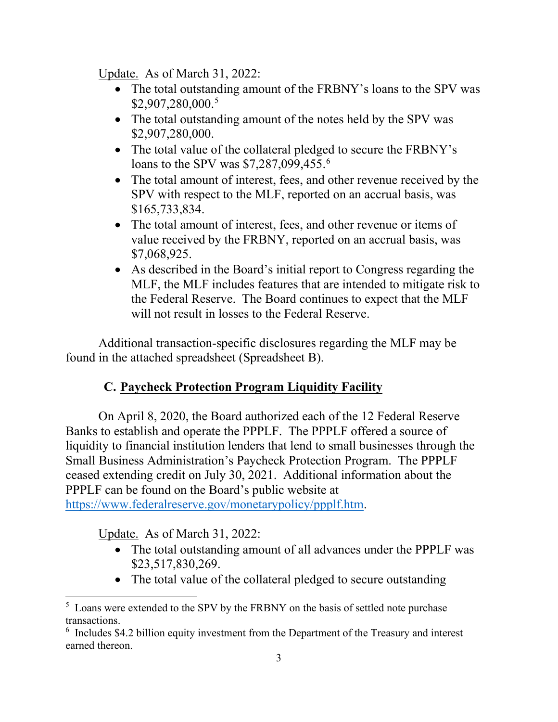Update. As of March 31, 2022:

- The total outstanding amount of the FRBNY's loans to the SPV was \$2,907,280,000. 5
- The total outstanding amount of the notes held by the SPV was \$2,907,280,000.
- The total value of the collateral pledged to secure the FRBNY's loans to the SPV was \$7,287,099,455.<sup>6</sup>
- The total amount of interest, fees, and other revenue received by the SPV with respect to the MLF, reported on an accrual basis, was \$165,733,834.
- The total amount of interest, fees, and other revenue or items of value received by the FRBNY, reported on an accrual basis, was \$7,068,925.
- As described in the Board's initial report to Congress regarding the MLF, the MLF includes features that are intended to mitigate risk to the Federal Reserve. The Board continues to expect that the MLF will not result in losses to the Federal Reserve.

Additional transaction-specific disclosures regarding the MLF may be found in the attached spreadsheet (Spreadsheet B).

# **C. Paycheck Protection Program Liquidity Facility**

On April 8, 2020, the Board authorized each of the 12 Federal Reserve Banks to establish and operate the PPPLF. The PPPLF offered a source of liquidity to financial institution lenders that lend to small businesses through the Small Business Administration's Paycheck Protection Program. The PPPLF ceased extending credit on July 30, 2021. Additional information about the PPPLF can be found on the Board's public website at https://www.federalreserve.gov/monetarypolicy/ppplf.htm.

Update. As of March 31, 2022:

- The total outstanding amount of all advances under the PPPLF was \$23,517,830,269.
- The total value of the collateral pledged to secure outstanding

<sup>&</sup>lt;sup>5</sup> Loans were extended to the SPV by the FRBNY on the basis of settled note purchase transactions.

<sup>&</sup>lt;sup>6</sup> Includes \$4.2 billion equity investment from the Department of the Treasury and interest earned thereon.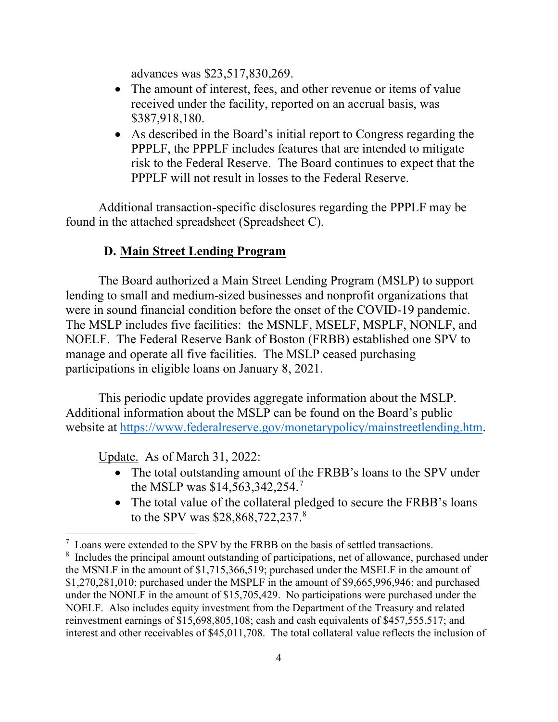advances was \$23,517,830,269.

- The amount of interest, fees, and other revenue or items of value received under the facility, reported on an accrual basis, was \$387,918,180.
- As described in the Board's initial report to Congress regarding the PPPLF, the PPPLF includes features that are intended to mitigate risk to the Federal Reserve. The Board continues to expect that the PPPLF will not result in losses to the Federal Reserve.

Additional transaction-specific disclosures regarding the PPPLF may be found in the attached spreadsheet (Spreadsheet C).

## **D. Main Street Lending Program**

The Board authorized a Main Street Lending Program (MSLP) to support lending to small and medium-sized businesses and nonprofit organizations that were in sound financial condition before the onset of the COVID-19 pandemic. The MSLP includes five facilities: the MSNLF, MSELF, MSPLF, NONLF, and NOELF. The Federal Reserve Bank of Boston (FRBB) established one SPV to manage and operate all five facilities. The MSLP ceased purchasing participations in eligible loans on January 8, 2021.

This periodic update provides aggregate information about the MSLP. Additional information about the MSLP can be found on the Board's public website at https://www.federalreserve.gov/monetarypolicy/mainstreetlending.htm.

Update. As of March 31, 2022:

- The total outstanding amount of the FRBB's loans to the SPV under the MSLP was \$14,563,342,254. 7
- The total value of the collateral pledged to secure the FRBB's loans to the SPV was \$28,868,722,237.<sup>8</sup>

 $7$  Loans were extended to the SPV by the FRBB on the basis of settled transactions.

<sup>&</sup>lt;sup>8</sup> Includes the principal amount outstanding of participations, net of allowance, purchased under the MSNLF in the amount of \$1,715,366,519; purchased under the MSELF in the amount of \$1,270,281,010; purchased under the MSPLF in the amount of \$9,665,996,946; and purchased under the NONLF in the amount of \$15,705,429. No participations were purchased under the NOELF. Also includes equity investment from the Department of the Treasury and related reinvestment earnings of \$15,698,805,108; cash and cash equivalents of \$457,555,517; and interest and other receivables of \$45,011,708. The total collateral value reflects the inclusion of